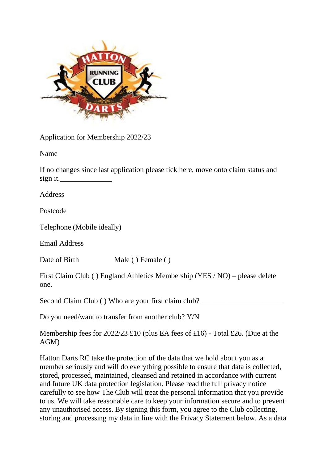

Application for Membership 2022/23

Name

If no changes since last application please tick here, move onto claim status and sign it.

Address

Postcode

Telephone (Mobile ideally)

Email Address

Date of Birth Male ( ) Female ( )

First Claim Club ( ) England Athletics Membership (YES / NO) – please delete one.

Second Claim Club () Who are your first claim club?

Do you need/want to transfer from another club? Y/N

Membership fees for 2022/23 £10 (plus EA fees of £16) - Total £26. (Due at the AGM)

Hatton Darts RC take the protection of the data that we hold about you as a member seriously and will do everything possible to ensure that data is collected, stored, processed, maintained, cleansed and retained in accordance with current and future UK data protection legislation. Please read the full privacy notice carefully to see how The Club will treat the personal information that you provide to us. We will take reasonable care to keep your information secure and to prevent any unauthorised access. By signing this form, you agree to the Club collecting, storing and processing my data in line with the Privacy Statement below. As a data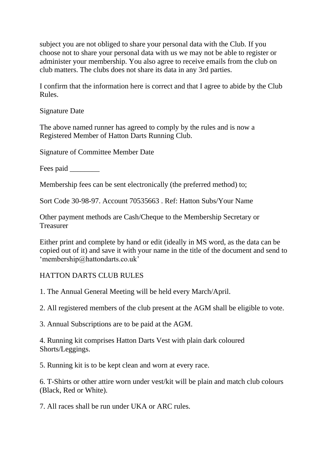subject you are not obliged to share your personal data with the Club. If you choose not to share your personal data with us we may not be able to register or administer your membership. You also agree to receive emails from the club on club matters. The clubs does not share its data in any 3rd parties.

I confirm that the information here is correct and that I agree to abide by the Club Rules.

Signature Date

The above named runner has agreed to comply by the rules and is now a Registered Member of Hatton Darts Running Club.

Signature of Committee Member Date

Fees paid  $\qquad$ 

Membership fees can be sent electronically (the preferred method) to;

Sort Code 30-98-97. Account 70535663 . Ref: Hatton Subs/Your Name

Other payment methods are Cash/Cheque to the Membership Secretary or Treasurer

Either print and complete by hand or edit (ideally in MS word, as the data can be copied out of it) and save it with your name in the title of the document and send to 'membership@hattondarts.co.uk'

## HATTON DARTS CLUB RULES

1. The Annual General Meeting will be held every March/April.

2. All registered members of the club present at the AGM shall be eligible to vote.

3. Annual Subscriptions are to be paid at the AGM.

4. Running kit comprises Hatton Darts Vest with plain dark coloured Shorts/Leggings.

5. Running kit is to be kept clean and worn at every race.

6. T-Shirts or other attire worn under vest/kit will be plain and match club colours (Black, Red or White).

7. All races shall be run under UKA or ARC rules.